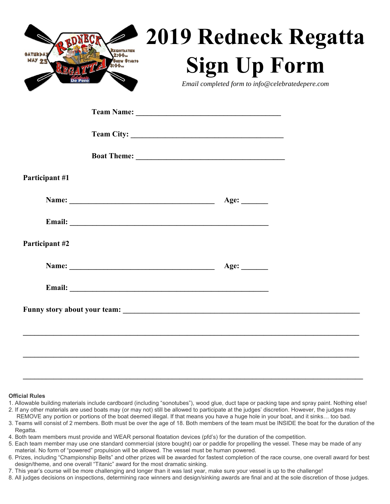| RONEGR <sub>2019</sub> Redneck Regatta           |
|--------------------------------------------------|
| <b>Sign Up Form</b>                              |
| Email completed form to info@celebratedepere.com |

| Participant #1 |                        |  |
|----------------|------------------------|--|
|                |                        |  |
|                |                        |  |
| Participant #2 |                        |  |
|                | Name: <u>Age:</u> Age: |  |
|                |                        |  |
|                |                        |  |
|                |                        |  |
|                |                        |  |
|                |                        |  |

## **Official Rules**

1. Allowable building materials include cardboard (including "sonotubes"), wood glue, duct tape or packing tape and spray paint. Nothing else!

 $\mathcal{L}_\mathcal{L} = \{ \mathcal{L}_\mathcal{L} = \{ \mathcal{L}_\mathcal{L} = \{ \mathcal{L}_\mathcal{L} = \{ \mathcal{L}_\mathcal{L} = \{ \mathcal{L}_\mathcal{L} = \{ \mathcal{L}_\mathcal{L} = \{ \mathcal{L}_\mathcal{L} = \{ \mathcal{L}_\mathcal{L} = \{ \mathcal{L}_\mathcal{L} = \{ \mathcal{L}_\mathcal{L} = \{ \mathcal{L}_\mathcal{L} = \{ \mathcal{L}_\mathcal{L} = \{ \mathcal{L}_\mathcal{L} = \{ \mathcal{L}_\mathcal{$ 

- 2. If any other materials are used boats may (or may not) still be allowed to participate at the judges' discretion. However, the judges may REMOVE any portion or portions of the boat deemed illegal. If that means you have a huge hole in your boat, and it sinks… too bad.
- 3. Teams will consist of 2 members. Both must be over the age of 18. Both members of the team must be INSIDE the boat for the duration of the Regatta.
- 4. Both team members must provide and WEAR personal floatation devices (pfd's) for the duration of the competition.
- 5. Each team member may use one standard commercial (store bought) oar or paddle for propelling the vessel. These may be made of any material. No form of "powered" propulsion will be allowed. The vessel must be human powered.
- 6. Prizes, including "Championship Belts" and other prizes will be awarded for fastest completion of the race course, one overall award for best design/theme, and one overall "Titanic" award for the most dramatic sinking.
- 7. This year's course will be more challenging and longer than it was last year, make sure your vessel is up to the challenge!
- 8. All judges decisions on inspections, determining race winners and design/sinking awards are final and at the sole discretion of those judges.